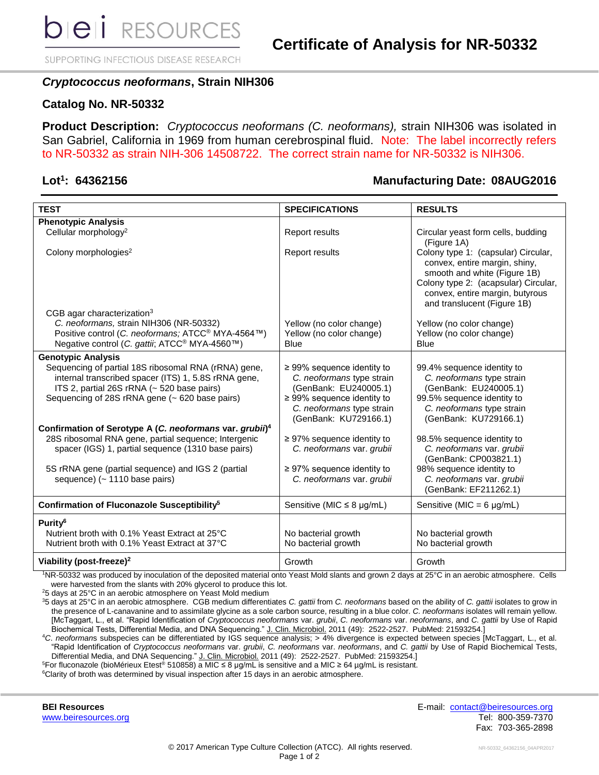SUPPORTING INFECTIOUS DISEASE RESEARCH

## *Cryptococcus neoformans***, Strain NIH306**

## **Catalog No. NR-50332**

**Product Description:** *Cryptococcus neoformans (C. neoformans),* strain NIH306 was isolated in San Gabriel, California in 1969 from human cerebrospinal fluid. Note: The label incorrectly refers to NR-50332 as strain NIH-306 14508722. The correct strain name for NR-50332 is NIH306.

## Lot<sup>1</sup>: 64362156

## **: 64362156 Manufacturing Date: 08AUG2016**

| <b>TEST</b>                                                                                                                                                                                                  | <b>SPECIFICATIONS</b>                                                                                                                                                          | <b>RESULTS</b>                                                                                                                                                                                                 |
|--------------------------------------------------------------------------------------------------------------------------------------------------------------------------------------------------------------|--------------------------------------------------------------------------------------------------------------------------------------------------------------------------------|----------------------------------------------------------------------------------------------------------------------------------------------------------------------------------------------------------------|
| <b>Phenotypic Analysis</b>                                                                                                                                                                                   |                                                                                                                                                                                |                                                                                                                                                                                                                |
| Cellular morphology <sup>2</sup>                                                                                                                                                                             | <b>Report results</b>                                                                                                                                                          | Circular yeast form cells, budding<br>(Figure 1A)                                                                                                                                                              |
| Colony morphologies <sup>2</sup><br>CGB agar characterization <sup>3</sup>                                                                                                                                   | <b>Report results</b>                                                                                                                                                          | Colony type 1: (capsular) Circular,<br>convex, entire margin, shiny,<br>smooth and white (Figure 1B)<br>Colony type 2: (acapsular) Circular,<br>convex, entire margin, butyrous<br>and translucent (Figure 1B) |
| C. neoformans, strain NIH306 (NR-50332)                                                                                                                                                                      | Yellow (no color change)                                                                                                                                                       | Yellow (no color change)                                                                                                                                                                                       |
| Positive control (C. neoformans; ATCC <sup>®</sup> MYA-4564™)                                                                                                                                                | Yellow (no color change)                                                                                                                                                       | Yellow (no color change)                                                                                                                                                                                       |
| Negative control (C. gattii; ATCC <sup>®</sup> MYA-4560™)                                                                                                                                                    | <b>Blue</b>                                                                                                                                                                    | <b>Blue</b>                                                                                                                                                                                                    |
|                                                                                                                                                                                                              |                                                                                                                                                                                |                                                                                                                                                                                                                |
| <b>Genotypic Analysis</b>                                                                                                                                                                                    |                                                                                                                                                                                |                                                                                                                                                                                                                |
| Sequencing of partial 18S ribosomal RNA (rRNA) gene,<br>internal transcribed spacer (ITS) 1, 5.8S rRNA gene,<br>ITS 2, partial 26S rRNA (~ 520 base pairs)<br>Sequencing of 28S rRNA gene (~ 620 base pairs) | $\geq$ 99% sequence identity to<br>C. neoformans type strain<br>(GenBank: EU240005.1)<br>$\geq$ 99% sequence identity to<br>C. neoformans type strain<br>(GenBank: KU729166.1) | 99.4% sequence identity to<br>C. neoformans type strain<br>(GenBank: EU240005.1)<br>99.5% sequence identity to<br>C. neoformans type strain<br>(GenBank: KU729166.1)                                           |
| Confirmation of Serotype A (C. neoformans var. grubii) <sup>4</sup>                                                                                                                                          |                                                                                                                                                                                |                                                                                                                                                                                                                |
| 28S ribosomal RNA gene, partial sequence; Intergenic<br>spacer (IGS) 1, partial sequence (1310 base pairs)<br>5S rRNA gene (partial sequence) and IGS 2 (partial                                             | $\geq$ 97% sequence identity to<br>C. neoformans var. grubii<br>$\geq$ 97% sequence identity to                                                                                | 98.5% sequence identity to<br>C. neoformans var. grubii<br>(GenBank: CP003821.1)<br>98% sequence identity to                                                                                                   |
| sequence) (~ 1110 base pairs)                                                                                                                                                                                | C. neoformans var. grubii                                                                                                                                                      | C. neoformans var. grubii<br>(GenBank: EF211262.1)                                                                                                                                                             |
| Confirmation of Fluconazole Susceptibility <sup>5</sup>                                                                                                                                                      | Sensitive (MIC $\leq$ 8 µg/mL)                                                                                                                                                 | Sensitive (MIC = $6 \mu g/mL$ )                                                                                                                                                                                |
| Purity <sup>6</sup>                                                                                                                                                                                          |                                                                                                                                                                                |                                                                                                                                                                                                                |
| Nutrient broth with 0.1% Yeast Extract at 25°C                                                                                                                                                               | No bacterial growth                                                                                                                                                            | No bacterial growth                                                                                                                                                                                            |
| Nutrient broth with 0.1% Yeast Extract at 37°C                                                                                                                                                               | No bacterial growth                                                                                                                                                            | No bacterial growth                                                                                                                                                                                            |
|                                                                                                                                                                                                              |                                                                                                                                                                                |                                                                                                                                                                                                                |
| Viability (post-freeze) <sup>2</sup>                                                                                                                                                                         | Growth                                                                                                                                                                         | Growth                                                                                                                                                                                                         |

<sup>1</sup>NR-50332 was produced by inoculation of the deposited material onto Yeast Mold slants and grown 2 days at 25°C in an aerobic atmosphere. Cells were harvested from the slants with 20% glycerol to produce this lot.

<sup>2</sup>5 days at 25°C in an aerobic atmosphere on Yeast Mold medium

<sup>3</sup>5 days at 25°C in an aerobic atmosphere. CGB medium differentiates *C. gattii* from *C. neoformans* based on the ability of *C. gattii* isolates to grow in the presence of L-canavanine and to assimilate glycine as a sole carbon source, resulting in a blue color. *C. neoformans* isolates will remain yellow. [McTaggart, L., et al. "Rapid Identification of *Cryptococcus neoformans* var. *grubii*, *C. neoformans* var. *neoformans*, and *C. gattii* by Use of Rapid Biochemical Tests, Differential Media, and DNA Sequencing." J. Clin. Microbiol. 2011 (49): 2522-2527. PubMed: 21593254.]

<sup>4</sup>*C*. *neoforman*s subspecies can be differentiated by IGS sequence analysis; > 4% divergence is expected between species [McTaggart, L., et al. "Rapid Identification of *Cryptococcus neoformans* var. *grubii*, *C. neoformans* var. *neoformans*, and *C. gattii* by Use of Rapid Biochemical Tests, Differential Media, and DNA Sequencing." J. Clin. Microbiol. 2011 (49): 2522-2527. PubMed: 21593254.]

<sup>5</sup>For fluconazole (bioMérieux Etest® 510858) a MIC ≤ 8 μg/mL is sensitive and a MIC ≥ 64 µg/mL is resistant.

<sup>6</sup>Clarity of broth was determined by visual inspection after 15 days in an aerobic atmosphere.

**BEI Resources** E-mail: [contact@beiresources.org](mailto:contact@beiresources.org) [www.beiresources.org](http://www.beiresources.org/) **Tel: 800-359-7370** Fax: 703-365-2898